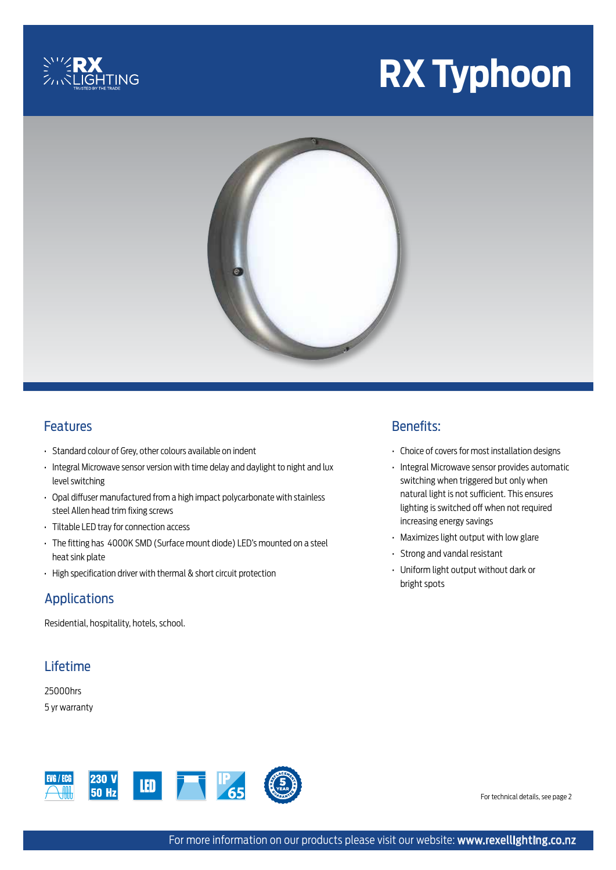

# **RX Typhoon**



#### Features

- Standard colour of Grey, other colours available on indent
- Integral Microwave sensor version with time delay and daylight to night and lux level switching
- Opal diffuser manufactured from a high impact polycarbonate with stainless steel Allen head trim fixing screws
- Tiltable LED tray for connection access
- The fitting has 4000K SMD (Surface mount diode) LED's mounted on a steel heat sink plate
- High specification driver with thermal & short circuit protection

#### Applications

Residential, hospitality, hotels, school.

# Lifetime

25000hrs 5 yr warranty



## Benefits:

- Choice of covers for most installation designs
- Integral Microwave sensor provides automatic switching when triggered but only when natural light is not sufficient. This ensures lighting is switched off when not required increasing energy savings
- Maximizes light output with low glare
- Strong and vandal resistant
- Uniform light output without dark or bright spots